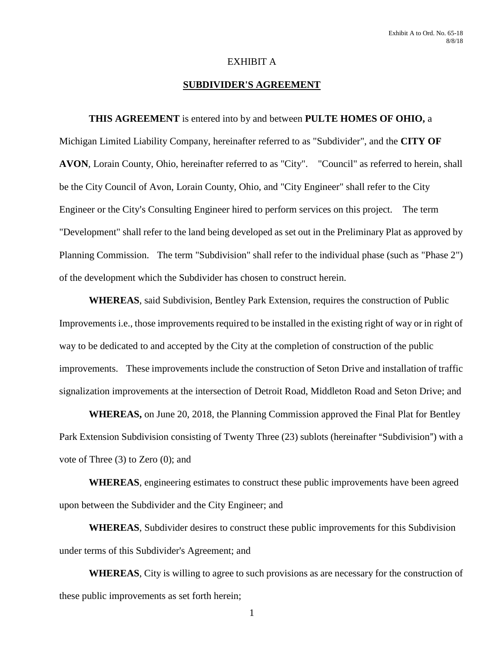#### EXHIBIT A

#### **SUBDIVIDER'S AGREEMENT**

#### **THIS AGREEMENT** is entered into by and between **PULTE HOMES OF OHIO,** a

Michigan Limited Liability Company, hereinafter referred to as "Subdivider", and the **CITY OF AVON**, Lorain County, Ohio, hereinafter referred to as "City". "Council" as referred to herein, shall be the City Council of Avon, Lorain County, Ohio, and "City Engineer" shall refer to the City Engineer or the City's Consulting Engineer hired to perform services on this project. The term "Development" shall refer to the land being developed as set out in the Preliminary Plat as approved by Planning Commission. The term "Subdivision" shall refer to the individual phase (such as "Phase 2") of the development which the Subdivider has chosen to construct herein.

**WHEREAS**, said Subdivision, Bentley Park Extension, requires the construction of Public Improvements i.e., those improvements required to be installed in the existing right of way or in right of way to be dedicated to and accepted by the City at the completion of construction of the public improvements. These improvements include the construction of Seton Drive and installation of traffic signalization improvements at the intersection of Detroit Road, Middleton Road and Seton Drive; and

**WHEREAS,** on June 20, 2018, the Planning Commission approved the Final Plat for Bentley Park Extension Subdivision consisting of Twenty Three (23) sublots (hereinafter "Subdivision") with a vote of Three (3) to Zero (0); and

**WHEREAS**, engineering estimates to construct these public improvements have been agreed upon between the Subdivider and the City Engineer; and

**WHEREAS**, Subdivider desires to construct these public improvements for this Subdivision under terms of this Subdivider's Agreement; and

**WHEREAS**, City is willing to agree to such provisions as are necessary for the construction of these public improvements as set forth herein;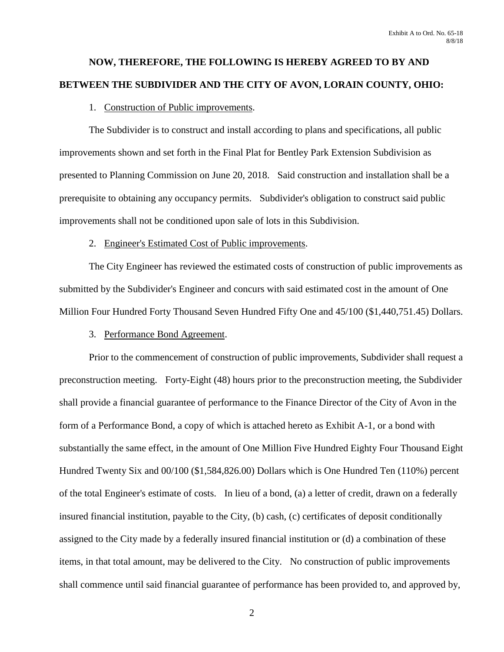# **NOW, THEREFORE, THE FOLLOWING IS HEREBY AGREED TO BY AND BETWEEN THE SUBDIVIDER AND THE CITY OF AVON, LORAIN COUNTY, OHIO:**

## 1. Construction of Public improvements.

The Subdivider is to construct and install according to plans and specifications, all public improvements shown and set forth in the Final Plat for Bentley Park Extension Subdivision as presented to Planning Commission on June 20, 2018. Said construction and installation shall be a prerequisite to obtaining any occupancy permits. Subdivider's obligation to construct said public improvements shall not be conditioned upon sale of lots in this Subdivision.

## 2. Engineer's Estimated Cost of Public improvements.

The City Engineer has reviewed the estimated costs of construction of public improvements as submitted by the Subdivider's Engineer and concurs with said estimated cost in the amount of One Million Four Hundred Forty Thousand Seven Hundred Fifty One and 45/100 (\$1,440,751.45) Dollars.

## 3. Performance Bond Agreement.

Prior to the commencement of construction of public improvements, Subdivider shall request a preconstruction meeting. Forty-Eight (48) hours prior to the preconstruction meeting, the Subdivider shall provide a financial guarantee of performance to the Finance Director of the City of Avon in the form of a Performance Bond, a copy of which is attached hereto as Exhibit A-1, or a bond with substantially the same effect, in the amount of One Million Five Hundred Eighty Four Thousand Eight Hundred Twenty Six and 00/100 (\$1,584,826.00) Dollars which is One Hundred Ten (110%) percent of the total Engineer's estimate of costs. In lieu of a bond, (a) a letter of credit, drawn on a federally insured financial institution, payable to the City, (b) cash, (c) certificates of deposit conditionally assigned to the City made by a federally insured financial institution or (d) a combination of these items, in that total amount, may be delivered to the City. No construction of public improvements shall commence until said financial guarantee of performance has been provided to, and approved by,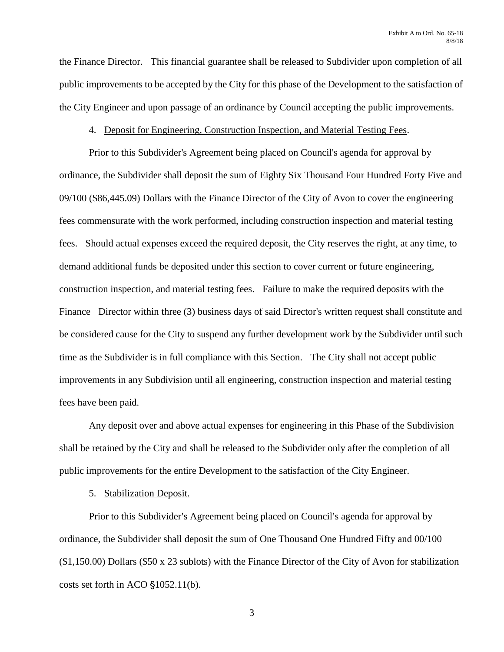the Finance Director. This financial guarantee shall be released to Subdivider upon completion of all public improvements to be accepted by the City for this phase of the Development to the satisfaction of the City Engineer and upon passage of an ordinance by Council accepting the public improvements.

#### 4. Deposit for Engineering, Construction Inspection, and Material Testing Fees.

Prior to this Subdivider's Agreement being placed on Council's agenda for approval by ordinance, the Subdivider shall deposit the sum of Eighty Six Thousand Four Hundred Forty Five and 09/100 (\$86,445.09) Dollars with the Finance Director of the City of Avon to cover the engineering fees commensurate with the work performed, including construction inspection and material testing fees. Should actual expenses exceed the required deposit, the City reserves the right, at any time, to demand additional funds be deposited under this section to cover current or future engineering, construction inspection, and material testing fees. Failure to make the required deposits with the Finance Director within three (3) business days of said Director's written request shall constitute and be considered cause for the City to suspend any further development work by the Subdivider until such time as the Subdivider is in full compliance with this Section. The City shall not accept public improvements in any Subdivision until all engineering, construction inspection and material testing fees have been paid.

Any deposit over and above actual expenses for engineering in this Phase of the Subdivision shall be retained by the City and shall be released to the Subdivider only after the completion of all public improvements for the entire Development to the satisfaction of the City Engineer.

## 5. Stabilization Deposit.

Prior to this Subdivider's Agreement being placed on Council's agenda for approval by ordinance, the Subdivider shall deposit the sum of One Thousand One Hundred Fifty and 00/100 (\$1,150.00) Dollars (\$50 x 23 sublots) with the Finance Director of the City of Avon for stabilization costs set forth in ACO  $$1052.11(b)$ .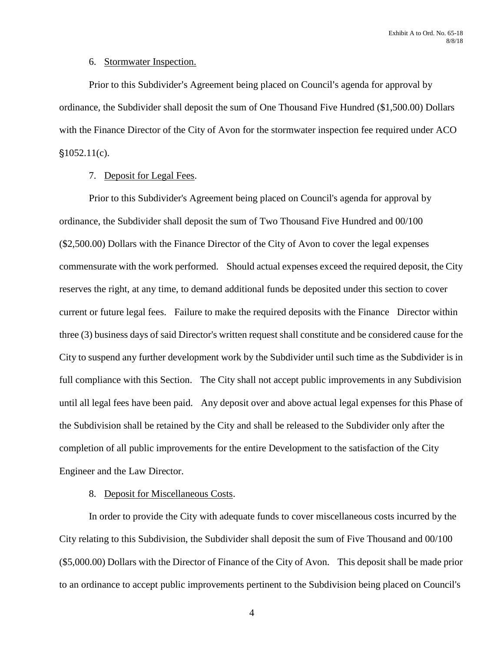## 6. Stormwater Inspection.

Prior to this Subdivider's Agreement being placed on Council's agenda for approval by ordinance, the Subdivider shall deposit the sum of One Thousand Five Hundred (\$1,500.00) Dollars with the Finance Director of the City of Avon for the stormwater inspection fee required under ACO  $$1052.11(c).$ 

#### 7. Deposit for Legal Fees.

Prior to this Subdivider's Agreement being placed on Council's agenda for approval by ordinance, the Subdivider shall deposit the sum of Two Thousand Five Hundred and 00/100 (\$2,500.00) Dollars with the Finance Director of the City of Avon to cover the legal expenses commensurate with the work performed. Should actual expenses exceed the required deposit, the City reserves the right, at any time, to demand additional funds be deposited under this section to cover current or future legal fees. Failure to make the required deposits with the Finance Director within three (3) business days of said Director's written request shall constitute and be considered cause for the City to suspend any further development work by the Subdivider until such time as the Subdivider is in full compliance with this Section. The City shall not accept public improvements in any Subdivision until all legal fees have been paid. Any deposit over and above actual legal expenses for this Phase of the Subdivision shall be retained by the City and shall be released to the Subdivider only after the completion of all public improvements for the entire Development to the satisfaction of the City Engineer and the Law Director.

## 8. Deposit for Miscellaneous Costs.

In order to provide the City with adequate funds to cover miscellaneous costs incurred by the City relating to this Subdivision, the Subdivider shall deposit the sum of Five Thousand and 00/100 (\$5,000.00) Dollars with the Director of Finance of the City of Avon. This deposit shall be made prior to an ordinance to accept public improvements pertinent to the Subdivision being placed on Council's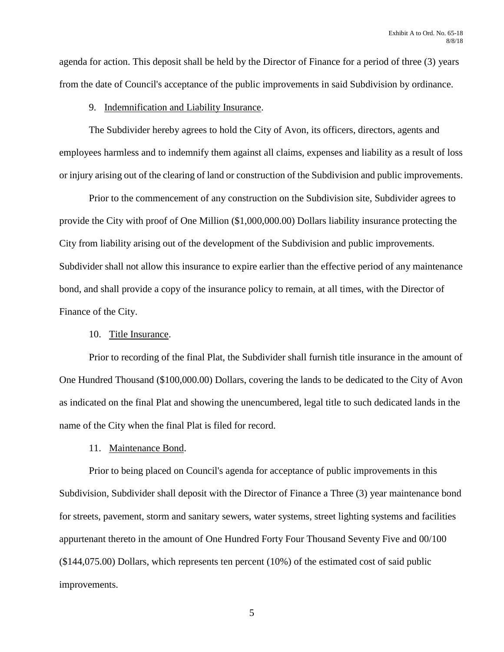agenda for action. This deposit shall be held by the Director of Finance for a period of three (3) years from the date of Council's acceptance of the public improvements in said Subdivision by ordinance.

#### 9. Indemnification and Liability Insurance.

The Subdivider hereby agrees to hold the City of Avon, its officers, directors, agents and employees harmless and to indemnify them against all claims, expenses and liability as a result of loss or injury arising out of the clearing of land or construction of the Subdivision and public improvements.

Prior to the commencement of any construction on the Subdivision site, Subdivider agrees to provide the City with proof of One Million (\$1,000,000.00) Dollars liability insurance protecting the City from liability arising out of the development of the Subdivision and public improvements. Subdivider shall not allow this insurance to expire earlier than the effective period of any maintenance bond, and shall provide a copy of the insurance policy to remain, at all times, with the Director of Finance of the City.

## 10. Title Insurance.

Prior to recording of the final Plat, the Subdivider shall furnish title insurance in the amount of One Hundred Thousand (\$100,000.00) Dollars, covering the lands to be dedicated to the City of Avon as indicated on the final Plat and showing the unencumbered, legal title to such dedicated lands in the name of the City when the final Plat is filed for record.

## 11. Maintenance Bond.

Prior to being placed on Council's agenda for acceptance of public improvements in this Subdivision, Subdivider shall deposit with the Director of Finance a Three (3) year maintenance bond for streets, pavement, storm and sanitary sewers, water systems, street lighting systems and facilities appurtenant thereto in the amount of One Hundred Forty Four Thousand Seventy Five and 00/100  $($144,075.00)$  Dollars, which represents ten percent  $(10\%)$  of the estimated cost of said public improvements.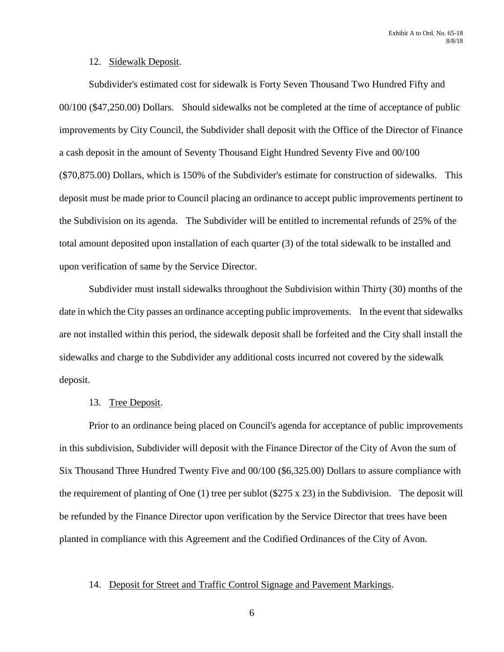#### 12. Sidewalk Deposit.

Subdivider's estimated cost for sidewalk is Forty Seven Thousand Two Hundred Fifty and 00/100 (\$47,250.00) Dollars. Should sidewalks not be completed at the time of acceptance of public improvements by City Council, the Subdivider shall deposit with the Office of the Director of Finance a cash deposit in the amount of Seventy Thousand Eight Hundred Seventy Five and 00/100 (\$70,875.00) Dollars, which is 150% of the Subdivider's estimate for construction of sidewalks. This deposit must be made prior to Council placing an ordinance to accept public improvements pertinent to the Subdivision on its agenda. The Subdivider will be entitled to incremental refunds of 25% of the total amount deposited upon installation of each quarter (3) of the total sidewalk to be installed and upon verification of same by the Service Director.

Subdivider must install sidewalks throughout the Subdivision within Thirty (30) months of the date in which the City passes an ordinance accepting public improvements. In the event that sidewalks are not installed within this period, the sidewalk deposit shall be forfeited and the City shall install the sidewalks and charge to the Subdivider any additional costs incurred not covered by the sidewalk deposit.

#### 13. Tree Deposit.

Prior to an ordinance being placed on Council's agenda for acceptance of public improvements in this subdivision, Subdivider will deposit with the Finance Director of the City of Avon the sum of Six Thousand Three Hundred Twenty Five and 00/100 (\$6,325.00) Dollars to assure compliance with the requirement of planting of One  $(1)$  tree per sublot (\$275 x 23) in the Subdivision. The deposit will be refunded by the Finance Director upon verification by the Service Director that trees have been planted in compliance with this Agreement and the Codified Ordinances of the City of Avon.

#### 14. Deposit for Street and Traffic Control Signage and Pavement Markings.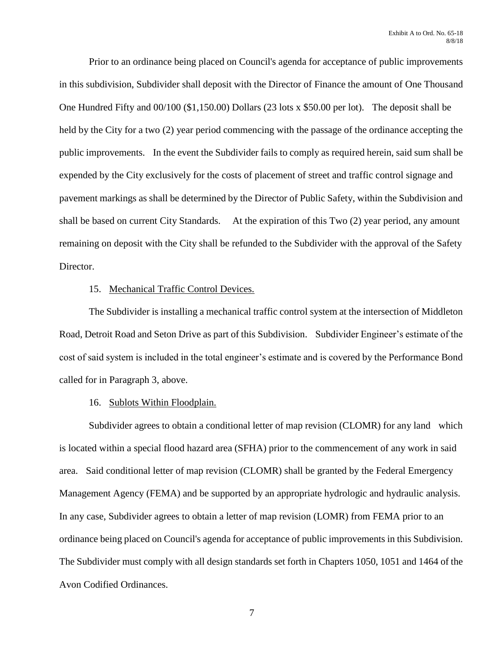Prior to an ordinance being placed on Council's agenda for acceptance of public improvements in this subdivision, Subdivider shall deposit with the Director of Finance the amount of One Thousand One Hundred Fifty and 00/100 (\$1,150.00) Dollars (23 lots x \$50.00 per lot). The deposit shall be held by the City for a two (2) year period commencing with the passage of the ordinance accepting the public improvements. In the event the Subdivider fails to comply as required herein, said sum shall be expended by the City exclusively for the costs of placement of street and traffic control signage and pavement markings as shall be determined by the Director of Public Safety, within the Subdivision and shall be based on current City Standards. At the expiration of this Two (2) year period, any amount remaining on deposit with the City shall be refunded to the Subdivider with the approval of the Safety Director.

#### 15. Mechanical Traffic Control Devices.

The Subdivider is installing a mechanical traffic control system at the intersection of Middleton Road, Detroit Road and Seton Drive as part of this Subdivision. Subdivider Engineer's estimate of the cost of said system is included in the total engineer's estimate and is covered by the Performance Bond called for in Paragraph 3, above.

## 16. Sublots Within Floodplain.

Subdivider agrees to obtain a conditional letter of map revision (CLOMR) for any land which is located within a special flood hazard area (SFHA) prior to the commencement of any work in said area. Said conditional letter of map revision (CLOMR) shall be granted by the Federal Emergency Management Agency (FEMA) and be supported by an appropriate hydrologic and hydraulic analysis. In any case, Subdivider agrees to obtain a letter of map revision (LOMR) from FEMA prior to an ordinance being placed on Council's agenda for acceptance of public improvements in this Subdivision. The Subdivider must comply with all design standards set forth in Chapters 1050, 1051 and 1464 of the Avon Codified Ordinances.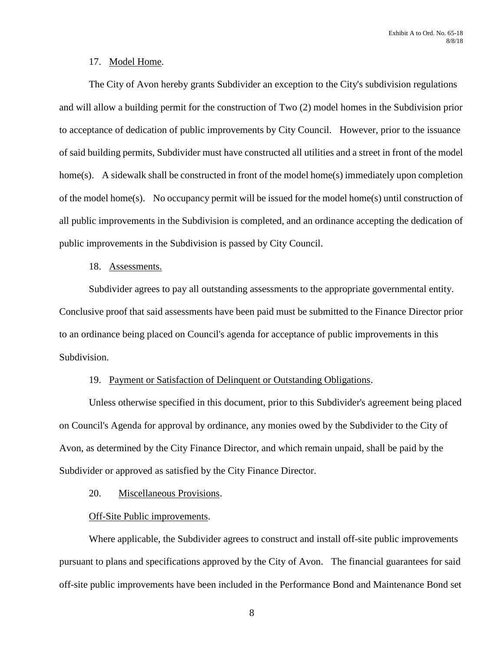#### 17. Model Home.

The City of Avon hereby grants Subdivider an exception to the City's subdivision regulations and will allow a building permit for the construction of Two (2) model homes in the Subdivision prior to acceptance of dedication of public improvements by City Council. However, prior to the issuance of said building permits, Subdivider must have constructed all utilities and a street in front of the model home(s). A sidewalk shall be constructed in front of the model home(s) immediately upon completion of the model home(s). No occupancy permit will be issued for the model home(s) until construction of all public improvements in the Subdivision is completed, and an ordinance accepting the dedication of public improvements in the Subdivision is passed by City Council.

## 18. Assessments.

Subdivider agrees to pay all outstanding assessments to the appropriate governmental entity. Conclusive proof that said assessments have been paid must be submitted to the Finance Director prior to an ordinance being placed on Council's agenda for acceptance of public improvements in this Subdivision.

## 19. Payment or Satisfaction of Delinquent or Outstanding Obligations.

Unless otherwise specified in this document, prior to this Subdivider's agreement being placed on Council's Agenda for approval by ordinance, any monies owed by the Subdivider to the City of Avon, as determined by the City Finance Director, and which remain unpaid, shall be paid by the Subdivider or approved as satisfied by the City Finance Director.

## 20. Miscellaneous Provisions.

## Off-Site Public improvements.

Where applicable, the Subdivider agrees to construct and install off-site public improvements pursuant to plans and specifications approved by the City of Avon. The financial guarantees for said off-site public improvements have been included in the Performance Bond and Maintenance Bond set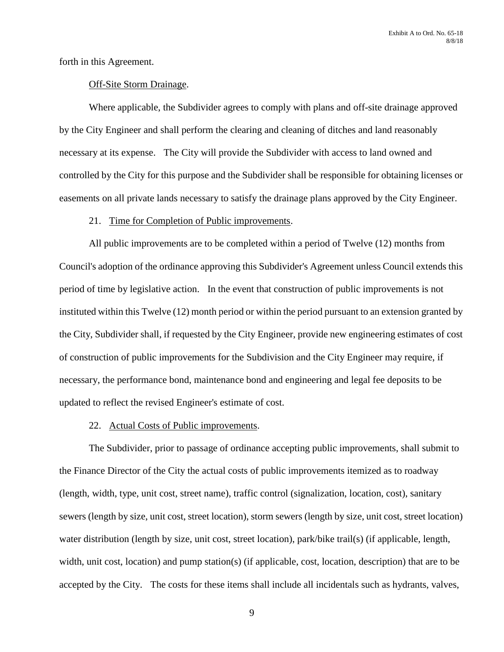forth in this Agreement.

#### Off-Site Storm Drainage.

Where applicable, the Subdivider agrees to comply with plans and off-site drainage approved by the City Engineer and shall perform the clearing and cleaning of ditches and land reasonably necessary at its expense. The City will provide the Subdivider with access to land owned and controlled by the City for this purpose and the Subdivider shall be responsible for obtaining licenses or easements on all private lands necessary to satisfy the drainage plans approved by the City Engineer.

#### 21. Time for Completion of Public improvements.

All public improvements are to be completed within a period of Twelve (12) months from Council's adoption of the ordinance approving this Subdivider's Agreement unless Council extends this period of time by legislative action. In the event that construction of public improvements is not instituted within this Twelve (12) month period or within the period pursuant to an extension granted by the City, Subdivider shall, if requested by the City Engineer, provide new engineering estimates of cost of construction of public improvements for the Subdivision and the City Engineer may require, if necessary, the performance bond, maintenance bond and engineering and legal fee deposits to be updated to reflect the revised Engineer's estimate of cost.

## 22. Actual Costs of Public improvements.

The Subdivider, prior to passage of ordinance accepting public improvements, shall submit to the Finance Director of the City the actual costs of public improvements itemized as to roadway (length, width, type, unit cost, street name), traffic control (signalization, location, cost), sanitary sewers (length by size, unit cost, street location), storm sewers (length by size, unit cost, street location) water distribution (length by size, unit cost, street location), park/bike trail(s) (if applicable, length, width, unit cost, location) and pump station(s) (if applicable, cost, location, description) that are to be accepted by the City. The costs for these items shall include all incidentals such as hydrants, valves,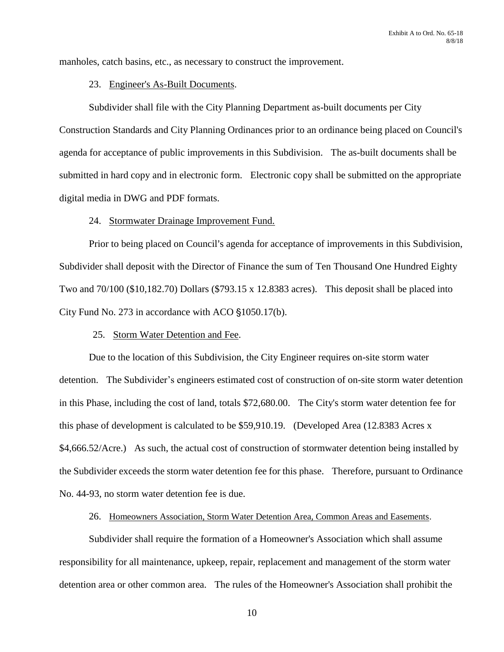manholes, catch basins, etc., as necessary to construct the improvement.

#### 23. Engineer's As-Built Documents.

Subdivider shall file with the City Planning Department as-built documents per City Construction Standards and City Planning Ordinances prior to an ordinance being placed on Council's agenda for acceptance of public improvements in this Subdivision. The as-built documents shall be submitted in hard copy and in electronic form. Electronic copy shall be submitted on the appropriate digital media in DWG and PDF formats.

#### 24. Stormwater Drainage Improvement Fund.

Prior to being placed on Council's agenda for acceptance of improvements in this Subdivision, Subdivider shall deposit with the Director of Finance the sum of Ten Thousand One Hundred Eighty Two and 70/100 (\$10,182.70) Dollars (\$793.15 x 12.8383 acres). This deposit shall be placed into City Fund No. 273 in accordance with ACO  $$1050.17(b)$ .

## 25. Storm Water Detention and Fee.

Due to the location of this Subdivision, the City Engineer requires on-site storm water detention. The Subdivider's engineers estimated cost of construction of on-site storm water detention in this Phase, including the cost of land, totals \$72,680.00. The City's storm water detention fee for this phase of development is calculated to be \$59,910.19. (Developed Area (12.8383 Acres x \$4,666.52/Acre.) As such, the actual cost of construction of stormwater detention being installed by the Subdivider exceeds the storm water detention fee for this phase. Therefore, pursuant to Ordinance No. 44-93, no storm water detention fee is due.

## 26. Homeowners Association, Storm Water Detention Area, Common Areas and Easements.

Subdivider shall require the formation of a Homeowner's Association which shall assume responsibility for all maintenance, upkeep, repair, replacement and management of the storm water detention area or other common area. The rules of the Homeowner's Association shall prohibit the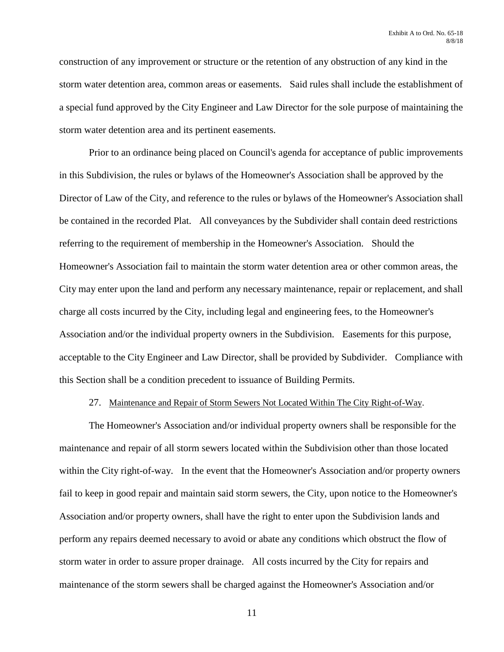construction of any improvement or structure or the retention of any obstruction of any kind in the storm water detention area, common areas or easements. Said rules shall include the establishment of a special fund approved by the City Engineer and Law Director for the sole purpose of maintaining the storm water detention area and its pertinent easements.

Prior to an ordinance being placed on Council's agenda for acceptance of public improvements in this Subdivision, the rules or bylaws of the Homeowner's Association shall be approved by the Director of Law of the City, and reference to the rules or bylaws of the Homeowner's Association shall be contained in the recorded Plat. All conveyances by the Subdivider shall contain deed restrictions referring to the requirement of membership in the Homeowner's Association. Should the Homeowner's Association fail to maintain the storm water detention area or other common areas, the City may enter upon the land and perform any necessary maintenance, repair or replacement, and shall charge all costs incurred by the City, including legal and engineering fees, to the Homeowner's Association and/or the individual property owners in the Subdivision. Easements for this purpose, acceptable to the City Engineer and Law Director, shall be provided by Subdivider. Compliance with this Section shall be a condition precedent to issuance of Building Permits.

#### 27. Maintenance and Repair of Storm Sewers Not Located Within The City Right-of-Way.

The Homeowner's Association and/or individual property owners shall be responsible for the maintenance and repair of all storm sewers located within the Subdivision other than those located within the City right-of-way. In the event that the Homeowner's Association and/or property owners fail to keep in good repair and maintain said storm sewers, the City, upon notice to the Homeowner's Association and/or property owners, shall have the right to enter upon the Subdivision lands and perform any repairs deemed necessary to avoid or abate any conditions which obstruct the flow of storm water in order to assure proper drainage. All costs incurred by the City for repairs and maintenance of the storm sewers shall be charged against the Homeowner's Association and/or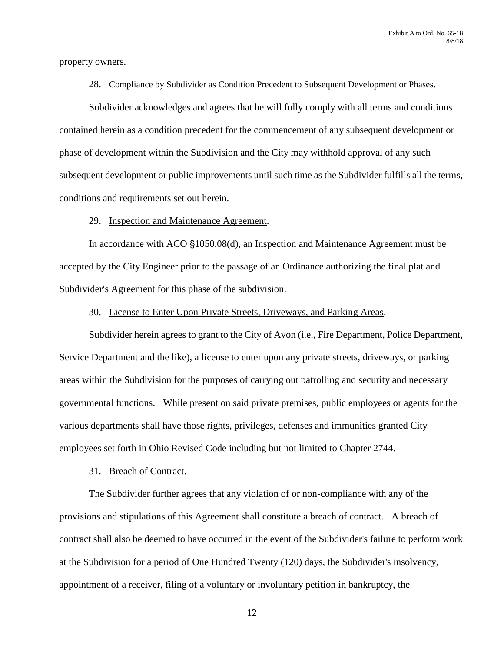property owners.

#### 28. Compliance by Subdivider as Condition Precedent to Subsequent Development or Phases.

Subdivider acknowledges and agrees that he will fully comply with all terms and conditions contained herein as a condition precedent for the commencement of any subsequent development or phase of development within the Subdivision and the City may withhold approval of any such subsequent development or public improvements until such time as the Subdivider fulfills all the terms, conditions and requirements set out herein.

#### 29. Inspection and Maintenance Agreement.

In accordance with ACO  $$1050.08(d)$ , an Inspection and Maintenance Agreement must be accepted by the City Engineer prior to the passage of an Ordinance authorizing the final plat and Subdivider's Agreement for this phase of the subdivision.

#### 30. License to Enter Upon Private Streets, Driveways, and Parking Areas.

Subdivider herein agrees to grant to the City of Avon (i.e., Fire Department, Police Department, Service Department and the like), a license to enter upon any private streets, driveways, or parking areas within the Subdivision for the purposes of carrying out patrolling and security and necessary governmental functions. While present on said private premises, public employees or agents for the various departments shall have those rights, privileges, defenses and immunities granted City employees set forth in Ohio Revised Code including but not limited to Chapter 2744.

#### 31. Breach of Contract.

The Subdivider further agrees that any violation of or non-compliance with any of the provisions and stipulations of this Agreement shall constitute a breach of contract. A breach of contract shall also be deemed to have occurred in the event of the Subdivider's failure to perform work at the Subdivision for a period of One Hundred Twenty (120) days, the Subdivider's insolvency, appointment of a receiver, filing of a voluntary or involuntary petition in bankruptcy, the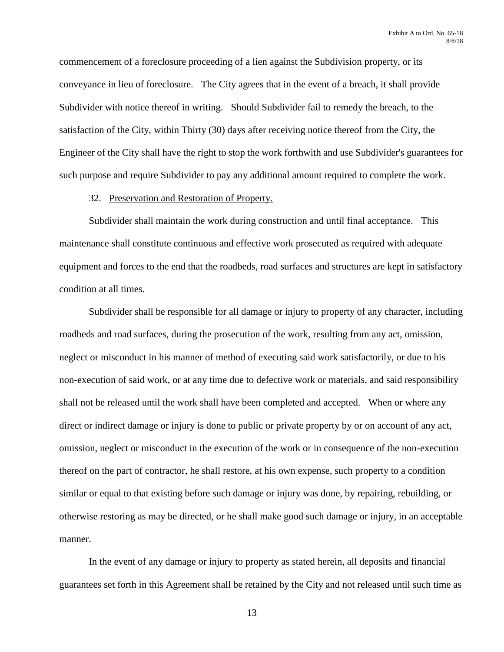commencement of a foreclosure proceeding of a lien against the Subdivision property, or its conveyance in lieu of foreclosure. The City agrees that in the event of a breach, it shall provide Subdivider with notice thereof in writing. Should Subdivider fail to remedy the breach, to the satisfaction of the City, within Thirty (30) days after receiving notice thereof from the City, the Engineer of the City shall have the right to stop the work forthwith and use Subdivider's guarantees for such purpose and require Subdivider to pay any additional amount required to complete the work.

#### 32. Preservation and Restoration of Property.

Subdivider shall maintain the work during construction and until final acceptance. This maintenance shall constitute continuous and effective work prosecuted as required with adequate equipment and forces to the end that the roadbeds, road surfaces and structures are kept in satisfactory condition at all times.

Subdivider shall be responsible for all damage or injury to property of any character, including roadbeds and road surfaces, during the prosecution of the work, resulting from any act, omission, neglect or misconduct in his manner of method of executing said work satisfactorily, or due to his non-execution of said work, or at any time due to defective work or materials, and said responsibility shall not be released until the work shall have been completed and accepted. When or where any direct or indirect damage or injury is done to public or private property by or on account of any act, omission, neglect or misconduct in the execution of the work or in consequence of the non-execution thereof on the part of contractor, he shall restore, at his own expense, such property to a condition similar or equal to that existing before such damage or injury was done, by repairing, rebuilding, or otherwise restoring as may be directed, or he shall make good such damage or injury, in an acceptable manner.

In the event of any damage or injury to property as stated herein, all deposits and financial guarantees set forth in this Agreement shall be retained by the City and not released until such time as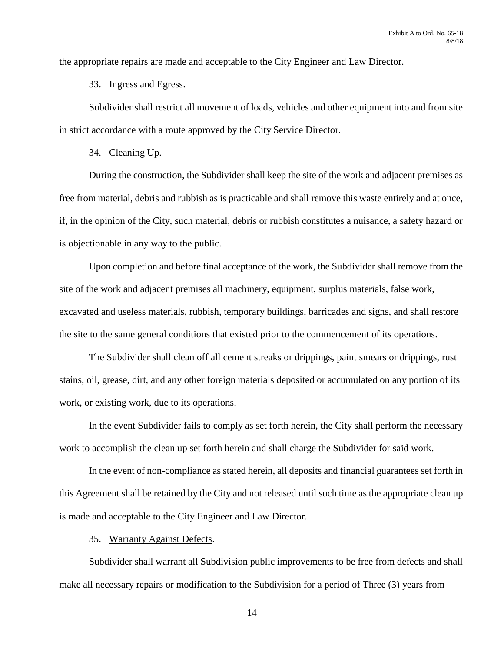the appropriate repairs are made and acceptable to the City Engineer and Law Director.

## 33. Ingress and Egress.

Subdivider shall restrict all movement of loads, vehicles and other equipment into and from site in strict accordance with a route approved by the City Service Director.

## 34. Cleaning Up.

During the construction, the Subdivider shall keep the site of the work and adjacent premises as free from material, debris and rubbish as is practicable and shall remove this waste entirely and at once, if, in the opinion of the City, such material, debris or rubbish constitutes a nuisance, a safety hazard or is objectionable in any way to the public.

Upon completion and before final acceptance of the work, the Subdivider shall remove from the site of the work and adjacent premises all machinery, equipment, surplus materials, false work, excavated and useless materials, rubbish, temporary buildings, barricades and signs, and shall restore the site to the same general conditions that existed prior to the commencement of its operations.

The Subdivider shall clean off all cement streaks or drippings, paint smears or drippings, rust stains, oil, grease, dirt, and any other foreign materials deposited or accumulated on any portion of its work, or existing work, due to its operations.

In the event Subdivider fails to comply as set forth herein, the City shall perform the necessary work to accomplish the clean up set forth herein and shall charge the Subdivider for said work.

In the event of non-compliance as stated herein, all deposits and financial guarantees set forth in this Agreement shall be retained by the City and not released until such time as the appropriate clean up is made and acceptable to the City Engineer and Law Director.

#### 35. Warranty Against Defects.

Subdivider shall warrant all Subdivision public improvements to be free from defects and shall make all necessary repairs or modification to the Subdivision for a period of Three (3) years from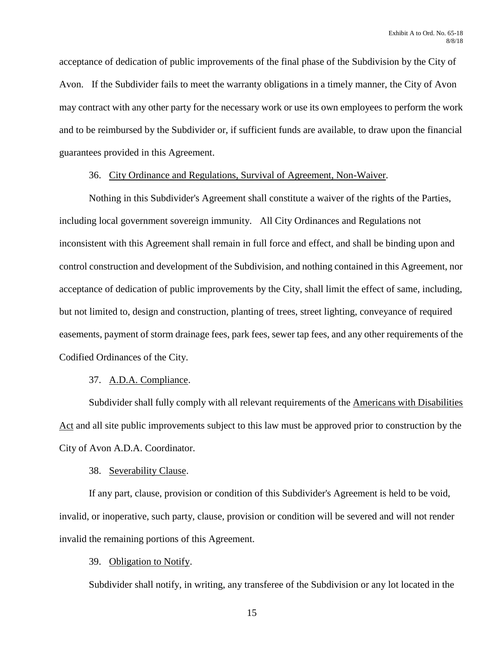acceptance of dedication of public improvements of the final phase of the Subdivision by the City of Avon. If the Subdivider fails to meet the warranty obligations in a timely manner, the City of Avon may contract with any other party for the necessary work or use its own employees to perform the work and to be reimbursed by the Subdivider or, if sufficient funds are available, to draw upon the financial guarantees provided in this Agreement.

#### 36. City Ordinance and Regulations, Survival of Agreement, Non-Waiver.

Nothing in this Subdivider's Agreement shall constitute a waiver of the rights of the Parties, including local government sovereign immunity. All City Ordinances and Regulations not inconsistent with this Agreement shall remain in full force and effect, and shall be binding upon and control construction and development of the Subdivision, and nothing contained in this Agreement, nor acceptance of dedication of public improvements by the City, shall limit the effect of same, including, but not limited to, design and construction, planting of trees, street lighting, conveyance of required easements, payment of storm drainage fees, park fees, sewer tap fees, and any other requirements of the Codified Ordinances of the City.

## 37. A.D.A. Compliance.

Subdivider shall fully comply with all relevant requirements of the Americans with Disabilities Act and all site public improvements subject to this law must be approved prior to construction by the City of Avon A.D.A. Coordinator.

## 38. Severability Clause.

If any part, clause, provision or condition of this Subdivider's Agreement is held to be void, invalid, or inoperative, such party, clause, provision or condition will be severed and will not render invalid the remaining portions of this Agreement.

## 39. Obligation to Notify.

Subdivider shall notify, in writing, any transferee of the Subdivision or any lot located in the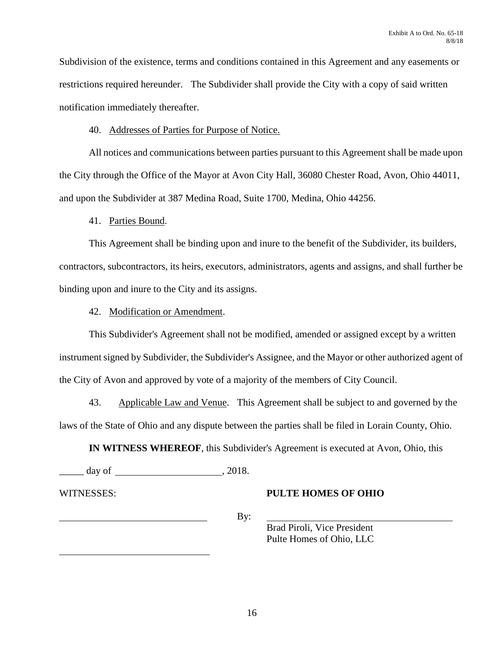Subdivision of the existence, terms and conditions contained in this Agreement and any easements or restrictions required hereunder. The Subdivider shall provide the City with a copy of said written notification immediately thereafter.

## 40. Addresses of Parties for Purpose of Notice.

All notices and communications between parties pursuant to this Agreement shall be made upon the City through the Office of the Mayor at Avon City Hall, 36080 Chester Road, Avon, Ohio 44011, and upon the Subdivider at 387 Medina Road, Suite 1700, Medina, Ohio 44256.

41. Parties Bound.

This Agreement shall be binding upon and inure to the benefit of the Subdivider, its builders, contractors, subcontractors, its heirs, executors, administrators, agents and assigns, and shall further be binding upon and inure to the City and its assigns.

42. Modification or Amendment.

This Subdivider's Agreement shall not be modified, amended or assigned except by a written instrument signed by Subdivider, the Subdivider's Assignee, and the Mayor or other authorized agent of the City of Avon and approved by vote of a majority of the members of City Council.

43. Applicable Law and Venue. This Agreement shall be subject to and governed by the laws of the State of Ohio and any dispute between the parties shall be filed in Lorain County, Ohio.

**IN WITNESS WHEREOF**, this Subdivider's Agreement is executed at Avon, Ohio, this

 $day of$ ,  $2018$ .

l

# WITNESSES: **PULTE HOMES OF OHIO**

 $\overline{\mathbf{B}}$  By:

Brad Piroli, Vice President Pulte Homes of Ohio, LLC